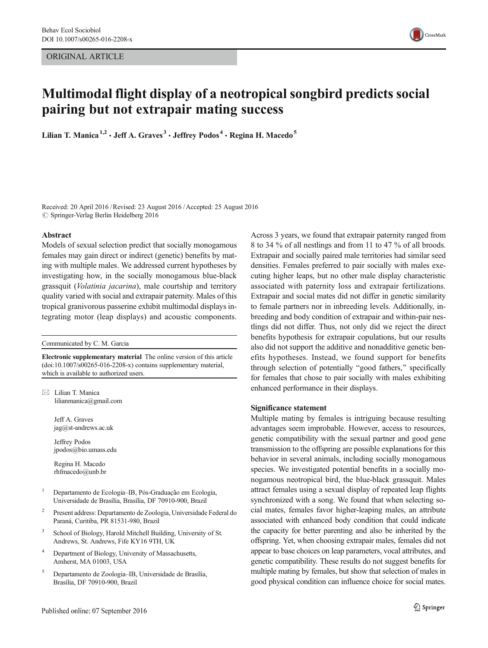ORIGINAL ARTICLE



# Multimodal flight display of a neotropical songbird predicts social pairing but not extrapair mating success

Lilian T. Manica<sup>1,2</sup>  $\cdot$  Jeff A. Graves<sup>3</sup>  $\cdot$  Jeffrey Podos<sup>4</sup>  $\cdot$  Regina H. Macedo<sup>5</sup>

Received: 20 April 2016 /Revised: 23 August 2016 /Accepted: 25 August 2016  $\oslash$  Springer-Verlag Berlin Heidelberg 2016

#### Abstract

Models of sexual selection predict that socially monogamous females may gain direct or indirect (genetic) benefits by mating with multiple males. We addressed current hypotheses by investigating how, in the socially monogamous blue-black grassquit (Volatinia jacarina), male courtship and territory quality varied with social and extrapair paternity. Males of this tropical granivorous passerine exhibit multimodal displays integrating motor (leap displays) and acoustic components.

Communicated by C. M. Garcia

Electronic supplementary material The online version of this article (doi[:10.1007/s00265-016-2208-x](http://dx.doi.org/10.1007/s00265-016-2208-x)) contains supplementary material, which is available to authorized users.

 $\boxtimes$  Lilian T. Manica lilianmanica@gmail.com

> Jeff A. Graves jag@st-andrews.ac.uk

Jeffrey Podos jpodos@bio.umass.edu

Regina H. Macedo rhfmacedo@unb.br

- <sup>1</sup> Departamento de Ecologia–IB, Pós-Graduação em Ecologia, Universidade de Brasília, Brasília, DF 70910-900, Brazil
- <sup>2</sup> Present address: Departamento de Zoologia, Universidade Federal do Paraná, Curitiba, PR 81531-980, Brazil
- School of Biology, Harold Mitchell Building, University of St. Andrews, St. Andrews, Fife KY16 9TH, UK
- <sup>4</sup> Department of Biology, University of Massachusetts, Amherst, MA 01003, USA
- <sup>5</sup> Departamento de Zoologia–IB, Universidade de Brasília, Brasília, DF 70910-900, Brazil

Across 3 years, we found that extrapair paternity ranged from 8 to 34 % of all nestlings and from 11 to 47 % of all broods. Extrapair and socially paired male territories had similar seed densities. Females preferred to pair socially with males executing higher leaps, but no other male display characteristic associated with paternity loss and extrapair fertilizations. Extrapair and social mates did not differ in genetic similarity to female partners nor in inbreeding levels. Additionally, inbreeding and body condition of extrapair and within-pair nestlings did not differ. Thus, not only did we reject the direct benefits hypothesis for extrapair copulations, but our results also did not support the additive and nonadditive genetic benefits hypotheses. Instead, we found support for benefits through selection of potentially "good fathers," specifically for females that chose to pair socially with males exhibiting enhanced performance in their displays.

# Significance statement

Multiple mating by females is intriguing because resulting advantages seem improbable. However, access to resources, genetic compatibility with the sexual partner and good gene transmission to the offspring are possible explanations for this behavior in several animals, including socially monogamous species. We investigated potential benefits in a socially monogamous neotropical bird, the blue-black grassquit. Males attract females using a sexual display of repeated leap flights synchronized with a song. We found that when selecting social mates, females favor higher-leaping males, an attribute associated with enhanced body condition that could indicate the capacity for better parenting and also be inherited by the offspring. Yet, when choosing extrapair males, females did not appear to base choices on leap parameters, vocal attributes, and genetic compatibility. These results do not suggest benefits for multiple mating by females, but show that selection of males in good physical condition can influence choice for social mates.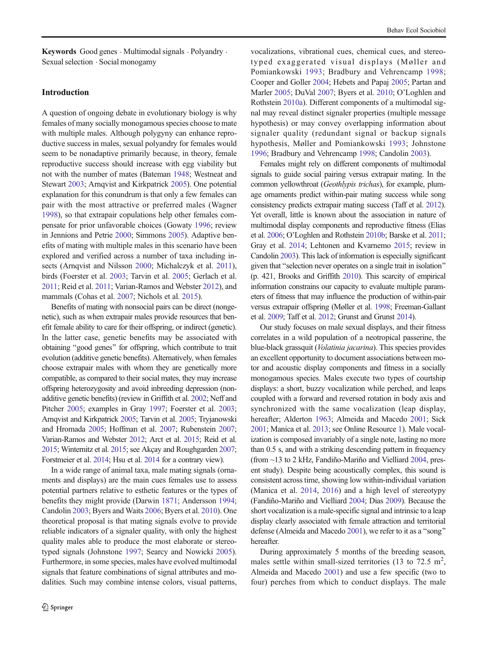Keywords Good genes . Multimodal signals . Polyandry . Sexual selection . Social monogamy

# Introduction

A question of ongoing debate in evolutionary biology is why females of many socially monogamous species choose to mate with multiple males. Although polygyny can enhance reproductive success in males, sexual polyandry for females would seem to be nonadaptive primarily because, in theory, female reproductive success should increase with egg viability but not with the number of mates (Bateman [1948](#page-11-0); Westneat and Stewart [2003;](#page-13-0) Arnqvist and Kirkpatrick [2005](#page-11-0)). One potential explanation for this conundrum is that only a few females can pair with the most attractive or preferred males (Wagner [1998\)](#page-13-0), so that extrapair copulations help other females compensate for prior unfavorable choices (Gowaty [1996](#page-12-0); review in Jennions and Petrie [2000](#page-12-0); Simmons [2005\)](#page-12-0). Adaptive benefits of mating with multiple males in this scenario have been explored and verified across a number of taxa including insects (Arnqvist and Nilsson [2000;](#page-11-0) Michalczyk et al. [2011\)](#page-12-0), birds (Foerster et al. [2003;](#page-11-0) Tarvin et al. [2005;](#page-12-0) Gerlach et al. [2011](#page-11-0); Reid et al. [2011](#page-12-0); Varian-Ramos and Webster [2012](#page-13-0)), and mammals (Cohas et al. [2007;](#page-11-0) Nichols et al. [2015\)](#page-12-0).

Benefits of mating with nonsocial pairs can be direct (nongenetic), such as when extrapair males provide resources that benefit female ability to care for their offspring, or indirect (genetic). In the latter case, genetic benefits may be associated with obtaining "good genes" for offspring, which contribute to trait evolution (additive genetic benefits). Alternatively, when females choose extrapair males with whom they are genetically more compatible, as compared to their social mates, they may increase offspring heterozygosity and avoid inbreeding depression (nonadditive genetic benefits) (review in Griffith et al. [2002](#page-12-0); Neff and Pitcher [2005](#page-12-0); examples in Gray [1997;](#page-12-0) Foerster et al. [2003](#page-11-0); Arnqvist and Kirkpatrick [2005;](#page-11-0) Tarvin et al. [2005](#page-12-0); Tryjanowski and Hromada [2005](#page-13-0); Hoffman et al. [2007](#page-12-0); Rubenstein [2007](#page-12-0); Varian-Ramos and Webster [2012;](#page-13-0) Arct et al. [2015](#page-11-0); Reid et al. [2015;](#page-12-0) Winternitz et al. [2015](#page-13-0); see Akçay and Roughgarden [2007](#page-11-0); Forstmeier et al. [2014;](#page-11-0) Hsu et al. [2014](#page-12-0) for a contrary view).

In a wide range of animal taxa, male mating signals (ornaments and displays) are the main cues females use to assess potential partners relative to esthetic features or the types of benefits they might provide (Darwin [1871;](#page-11-0) Andersson [1994](#page-11-0); Candolin [2003](#page-11-0); Byers and Waits [2006;](#page-11-0) Byers et al. [2010](#page-11-0)). One theoretical proposal is that mating signals evolve to provide reliable indicators of a signaler quality, with only the highest quality males able to produce the most elaborate or stereotyped signals (Johnstone [1997](#page-12-0); Searcy and Nowicki [2005](#page-12-0)). Furthermore, in some species, males have evolved multimodal signals that feature combinations of signal attributes and modalities. Such may combine intense colors, visual patterns,

vocalizations, vibrational cues, chemical cues, and stereotyped exaggerated visual displays (Møller and Pomiankowski [1993;](#page-12-0) Bradbury and Vehrencamp [1998;](#page-11-0) Cooper and Goller [2004](#page-11-0); Hebets and Papaj [2005](#page-12-0); Partan and Marler [2005;](#page-12-0) DuVal [2007](#page-11-0); Byers et al. [2010](#page-11-0); O'Loghlen and Rothstein [2010a\)](#page-12-0). Different components of a multimodal signal may reveal distinct signaler properties (multiple message hypothesis) or may convey overlapping information about signaler quality (redundant signal or backup signals hypothesis, Møller and Pomiankowski [1993;](#page-12-0) Johnstone [1996;](#page-12-0) Bradbury and Vehrencamp [1998;](#page-11-0) Candolin [2003\)](#page-11-0).

Females might rely on different components of multimodal signals to guide social pairing versus extrapair mating. In the common yellowthroat (Geothlypis trichas), for example, plumage ornaments predict within-pair mating success while song consistency predicts extrapair mating success (Taff et al. [2012\)](#page-12-0). Yet overall, little is known about the association in nature of multimodal display components and reproductive fitness (Elias et al. [2006;](#page-11-0) O'Loghlen and Rothstein [2010b](#page-12-0); Barske et al. [2011;](#page-11-0) Gray et al. [2014](#page-12-0); Lehtonen and Kvarnemo [2015](#page-12-0); review in Candolin [2003](#page-11-0)). This lack of information is especially significant given that "selection never operates on a single trait in isolation" (p. 421, Brooks and Griffith [2010](#page-11-0)). This scarcity of empirical information constrains our capacity to evaluate multiple parameters of fitness that may influence the production of within-pair versus extrapair offspring (Møller et al. [1998](#page-12-0); Freeman-Gallant et al. [2009](#page-11-0); Taff et al. [2012](#page-12-0); Grunst and Grunst [2014](#page-12-0)).

Our study focuses on male sexual displays, and their fitness correlates in a wild population of a neotropical passerine, the blue-black grassquit (Volatinia jacarina). This species provides an excellent opportunity to document associations between motor and acoustic display components and fitness in a socially monogamous species. Males execute two types of courtship displays: a short, buzzy vocalization while perched, and leaps coupled with a forward and reversed rotation in body axis and synchronized with the same vocalization (leap display, hereafter; Alderton [1963](#page-11-0); Almeida and Macedo [2001;](#page-11-0) Sick [2001](#page-12-0); Manica et al. [2013;](#page-12-0) see Online Resource 1). Male vocalization is composed invariably of a single note, lasting no more than 0.5 s, and with a striking descending pattern in frequency (from ~13 to 2 kHz, Fandiño-Mariño and Vielliard [2004,](#page-11-0) present study). Despite being acoustically complex, this sound is consistent across time, showing low within-individual variation (Manica et al. [2014,](#page-12-0) [2016](#page-12-0)) and a high level of stereotypy (Fandiño-Mariño and Vielliard [2004](#page-11-0); Dias [2009\)](#page-11-0). Because the short vocalization is a male-specific signal and intrinsic to a leap display clearly associated with female attraction and territorial defense (Almeida and Macedo [2001](#page-11-0)), we refer to it as a "song" hereafter.

During approximately 5 months of the breeding season, males settle within small-sized territories (13 to 72.5 m<sup>2</sup>, Almeida and Macedo [2001](#page-11-0)) and use a few specific (two to four) perches from which to conduct displays. The male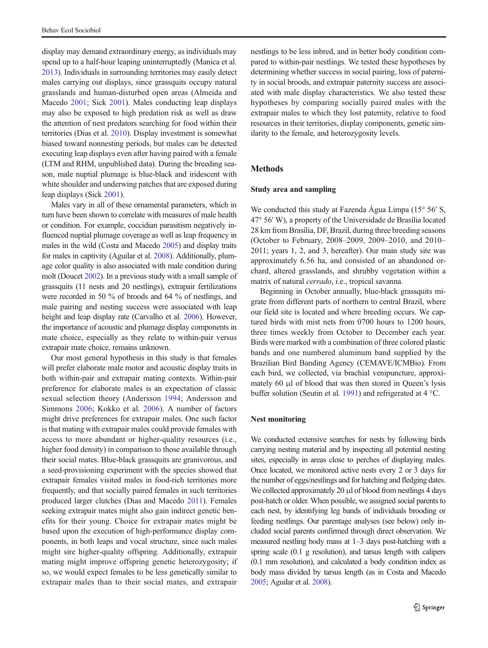display may demand extraordinary energy, as individuals may spend up to a half-hour leaping uninterruptedly (Manica et al. [2013\)](#page-12-0). Individuals in surrounding territories may easily detect males carrying out displays, since grassquits occupy natural grasslands and human-disturbed open areas (Almeida and Macedo [2001](#page-11-0); Sick [2001](#page-12-0)). Males conducting leap displays may also be exposed to high predation risk as well as draw the attention of nest predators searching for food within their territories (Dias et al. [2010\)](#page-11-0). Display investment is somewhat biased toward nonnesting periods, but males can be detected executing leap displays even after having paired with a female (LTM and RHM, unpublished data). During the breeding season, male nuptial plumage is blue-black and iridescent with white shoulder and underwing patches that are exposed during leap displays (Sick [2001\)](#page-12-0).

Males vary in all of these ornamental parameters, which in turn have been shown to correlate with measures of male health or condition. For example, coccidian parasitism negatively influenced nuptial plumage coverage as well as leap frequency in males in the wild (Costa and Macedo [2005\)](#page-11-0) and display traits for males in captivity (Aguilar et al. [2008\)](#page-11-0). Additionally, plumage color quality is also associated with male condition during molt (Doucet [2002](#page-11-0)). In a previous study with a small sample of grassquits (11 nests and 20 nestlings), extrapair fertilizations were recorded in 50 % of broods and 64 % of nestlings, and male pairing and nesting success were associated with leap height and leap display rate (Carvalho et al. [2006](#page-11-0)). However, the importance of acoustic and plumage display components in mate choice, especially as they relate to within-pair versus extrapair mate choice, remains unknown.

Our most general hypothesis in this study is that females will prefer elaborate male motor and acoustic display traits in both within-pair and extrapair mating contexts. Within-pair preference for elaborate males is an expectation of classic sexual selection theory (Andersson [1994;](#page-11-0) Andersson and Simmons [2006;](#page-11-0) Kokko et al. [2006](#page-12-0)). A number of factors might drive preferences for extrapair males. One such factor is that mating with extrapair males could provide females with access to more abundant or higher-quality resources (i.e., higher food density) in comparison to those available through their social mates. Blue-black grassquits are granivorous, and a seed-provisioning experiment with the species showed that extrapair females visited males in food-rich territories more frequently, and that socially paired females in such territories produced larger clutches (Dias and Macedo [2011\)](#page-11-0). Females seeking extrapair mates might also gain indirect genetic benefits for their young. Choice for extrapair mates might be based upon the execution of high-performance display components, in both leaps and vocal structure, since such males might sire higher-quality offspring. Additionally, extrapair mating might improve offspring genetic heterozygosity; if so, we would expect females to be less genetically similar to extrapair males than to their social mates, and extrapair

nestlings to be less inbred, and in better body condition compared to within-pair nestlings. We tested these hypotheses by determining whether success in social pairing, loss of paternity in social broods, and extrapair paternity success are associated with male display characteristics. We also tested these hypotheses by comparing socially paired males with the extrapair males to which they lost paternity, relative to food resources in their territories, display components, genetic similarity to the female, and heterozygosity levels.

# Methods

#### Study area and sampling

We conducted this study at Fazenda Água Limpa (15° 56′ S, 47° 56′ W), a property of the Universidade de Brasília located 28 km from Brasília, DF, Brazil, during three breeding seasons (October to February, 2008–2009, 2009–2010, and 2010– 2011; years 1, 2, and 3, hereafter). Our main study site was approximately 6.56 ha, and consisted of an abandoned orchard, altered grasslands, and shrubby vegetation within a matrix of natural cerrado, i.e., tropical savanna.

Beginning in October annually, blue-black grassquits migrate from different parts of northern to central Brazil, where our field site is located and where breeding occurs. We captured birds with mist nets from 0700 hours to 1200 hours, three times weekly from October to December each year. Birds were marked with a combination of three colored plastic bands and one numbered aluminum band supplied by the Brazilian Bird Banding Agency (CEMAVE/ICMBio). From each bird, we collected, via brachial venipuncture, approximately 60 μl of blood that was then stored in Queen's lysis buffer solution (Seutin et al. [1991\)](#page-12-0) and refrigerated at 4 °C.

## Nest monitoring

We conducted extensive searches for nests by following birds carrying nesting material and by inspecting all potential nesting sites, especially in areas close to perches of displaying males. Once located, we monitored active nests every 2 or 3 days for the number of eggs/nestlings and for hatching and fledging dates. We collected approximately 20 μl of blood from nestlings 4 days post-hatch or older. When possible, we assigned social parents to each nest, by identifying leg bands of individuals brooding or feeding nestlings. Our parentage analyses (see below) only included social parents confirmed through direct observation. We measured nestling body mass at 1–3 days post-hatching with a spring scale (0.1 g resolution), and tarsus length with calipers (0.1 mm resolution), and calculated a body condition index as body mass divided by tarsus length (as in Costa and Macedo [2005;](#page-11-0) Aguilar et al. [2008](#page-11-0)).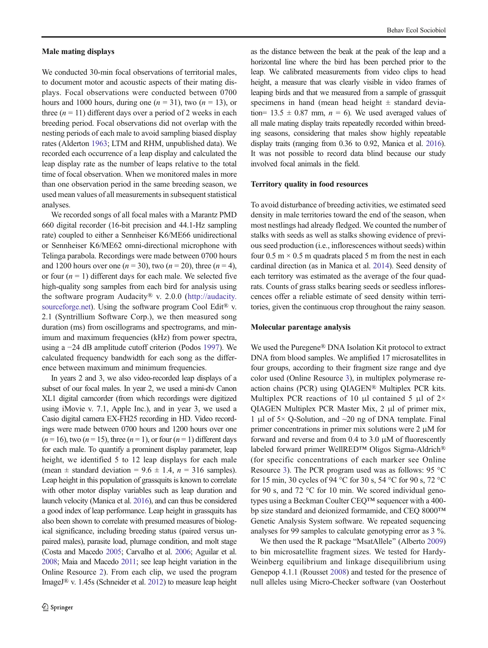#### Male mating displays

We conducted 30-min focal observations of territorial males, to document motor and acoustic aspects of their mating displays. Focal observations were conducted between 0700 hours and 1000 hours, during one ( $n = 31$ ), two ( $n = 13$ ), or three  $(n = 11)$  different days over a period of 2 weeks in each breeding period. Focal observations did not overlap with the nesting periods of each male to avoid sampling biased display rates (Alderton [1963](#page-11-0); LTM and RHM, unpublished data). We recorded each occurrence of a leap display and calculated the leap display rate as the number of leaps relative to the total time of focal observation. When we monitored males in more than one observation period in the same breeding season, we used mean values of all measurements in subsequent statistical analyses.

We recorded songs of all focal males with a Marantz PMD 660 digital recorder (16-bit precision and 44.1-Hz sampling rate) coupled to either a Sennheiser K6/ME66 unidirectional or Sennheiser K6/ME62 omni-directional microphone with Telinga parabola. Recordings were made between 0700 hours and 1200 hours over one ( $n = 30$ ), two ( $n = 20$ ), three ( $n = 4$ ), or four  $(n = 1)$  different days for each male. We selected five high-quality song samples from each bird for analysis using the software program Audacity® v. 2.0.0 ([http://audacity.](http://audacity.sourceforge.net) [sourceforge.net\)](http://audacity.sourceforge.net). Using the software program Cool Edit® v. 2.1 (Syntrillium Software Corp.), we then measured song duration (ms) from oscillograms and spectrograms, and minimum and maximum frequencies (kHz) from power spectra, using a −24 dB amplitude cutoff criterion (Podos [1997\)](#page-12-0). We calculated frequency bandwidth for each song as the difference between maximum and minimum frequencies.

In years 2 and 3, we also video-recorded leap displays of a subset of our focal males. In year 2, we used a mini-dv Canon XL1 digital camcorder (from which recordings were digitized using iMovie v. 7.1, Apple Inc.), and in year 3, we used a Casio digital camera EX-FH25 recording in HD. Video recordings were made between 0700 hours and 1200 hours over one  $(n=16)$ , two  $(n=15)$ , three  $(n=1)$ , or four  $(n=1)$  different days for each male. To quantify a prominent display parameter, leap height, we identified 5 to 12 leap displays for each male (mean  $\pm$  standard deviation = 9.6  $\pm$  1.4,  $n = 316$  samples). Leap height in this population of grassquits is known to correlate with other motor display variables such as leap duration and launch velocity (Manica et al. [2016\)](#page-12-0), and can thus be considered a good index of leap performance. Leap height in grassquits has also been shown to correlate with presumed measures of biological significance, including breeding status (paired versus unpaired males), parasite load, plumage condition, and molt stage (Costa and Macedo [2005](#page-11-0); Carvalho et al. [2006;](#page-11-0) Aguilar et al. [2008;](#page-11-0) Maia and Macedo [2011](#page-12-0); see leap height variation in the Online Resource 2). From each clip, we used the program ImageJ® v. 1.45s (Schneider et al. [2012](#page-12-0)) to measure leap height

as the distance between the beak at the peak of the leap and a horizontal line where the bird has been perched prior to the leap. We calibrated measurements from video clips to head height, a measure that was clearly visible in video frames of leaping birds and that we measured from a sample of grassquit specimens in hand (mean head height  $\pm$  standard deviation=  $13.5 \pm 0.87$  mm,  $n = 6$ ). We used averaged values of all male mating display traits repeatedly recorded within breeding seasons, considering that males show highly repeatable display traits (ranging from 0.36 to 0.92, Manica et al. [2016\)](#page-12-0). It was not possible to record data blind because our study involved focal animals in the field.

## Territory quality in food resources

To avoid disturbance of breeding activities, we estimated seed density in male territories toward the end of the season, when most nestlings had already fledged. We counted the number of stalks with seeds as well as stalks showing evidence of previous seed production (i.e., inflorescences without seeds) within four  $0.5 \text{ m} \times 0.5 \text{ m}$  quadrats placed 5 m from the nest in each cardinal direction (as in Manica et al. [2014](#page-12-0)). Seed density of each territory was estimated as the average of the four quadrats. Counts of grass stalks bearing seeds or seedless inflorescences offer a reliable estimate of seed density within territories, given the continuous crop throughout the rainy season.

#### Molecular parentage analysis

We used the Puregene® DNA Isolation Kit protocol to extract DNA from blood samples. We amplified 17 microsatellites in four groups, according to their fragment size range and dye color used (Online Resource 3), in multiplex polymerase reaction chains (PCR) using QIAGEN® Multiplex PCR kits. Multiplex PCR reactions of 10 μl contained 5 μl of  $2\times$ QIAGEN Multiplex PCR Master Mix, 2 μl of primer mix, 1 μl of 5× Q-Solution, and ~20 ng of DNA template. Final primer concentrations in primer mix solutions were 2 μM for forward and reverse and from 0.4 to 3.0 μM of fluorescently labeled forward primer WellRED™ Oligos Sigma-Aldrich® (for specific concentrations of each marker see Online Resource 3). The PCR program used was as follows: 95 °C for 15 min, 30 cycles of 94 °C for 30 s, 54 °C for 90 s, 72 °C for 90 s, and 72 °C for 10 min. We scored individual genotypes using a Beckman Coulter CEQ™ sequencer with a 400 bp size standard and deionized formamide, and CEQ 8000™ Genetic Analysis System software. We repeated sequencing analyses for 99 samples to calculate genotyping error as 3 %.

We then used the R package "MsatAllele" (Alberto [2009](#page-11-0)) to bin microsatellite fragment sizes. We tested for Hardy-Weinberg equilibrium and linkage disequilibrium using Genepop 4.1.1 (Rousset [2008\)](#page-12-0) and tested for the presence of null alleles using Micro-Checker software (van Oosterhout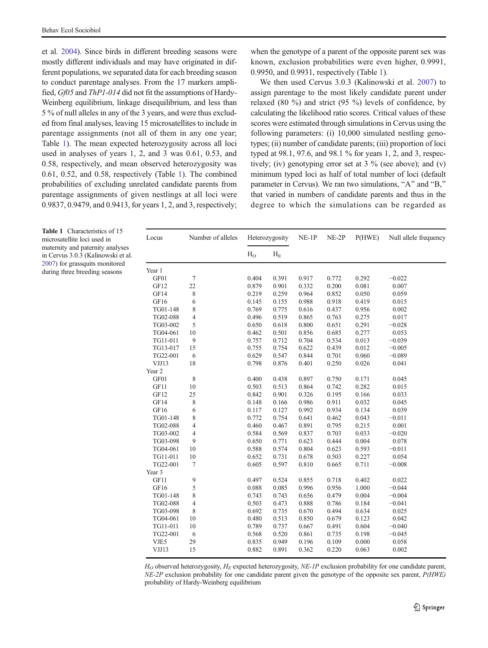et al. [2004](#page-13-0)). Since birds in different breeding seasons were mostly different individuals and may have originated in different populations, we separated data for each breeding season to conduct parentage analyses. From the 17 markers amplified, Gf05 and ThP1-014 did not fit the assumptions of Hardy-Weinberg equilibrium, linkage disequilibrium, and less than 5 % of null alleles in any of the 3 years, and were thus excluded from final analyses, leaving 15 microsatellites to include in parentage assignments (not all of them in any one year; Table 1). The mean expected heterozygosity across all loci used in analyses of years 1, 2, and 3 was 0.61, 0.53, and 0.58, respectively, and mean observed heterozygosity was 0.61, 0.52, and 0.58, respectively (Table 1). The combined probabilities of excluding unrelated candidate parents from parentage assignments of given nestlings at all loci were 0.9837, 0.9479, and 0.9413, for years 1, 2, and 3, respectively;

when the genotype of a parent of the opposite parent sex was known, exclusion probabilities were even higher, 0.9991, 0.9950, and 0.9931, respectively (Table 1).

We then used Cervus 3.0.3 (Kalinowski et al. [2007\)](#page-12-0) to assign parentage to the most likely candidate parent under relaxed (80 %) and strict (95 %) levels of confidence, by calculating the likelihood ratio scores. Critical values of these scores were estimated through simulations in Cervus using the following parameters: (i) 10,000 simulated nestling genotypes; (ii) number of candidate parents; (iii) proportion of loci typed at 98.1, 97.6, and 98.1 % for years 1, 2, and 3, respectively; (iv) genotyping error set at  $3\%$  (see above); and (v) minimum typed loci as half of total number of loci (default parameter in Cervus). We ran two simulations, "A" and "B," that varied in numbers of candidate parents and thus in the degree to which the simulations can be regarded as

| Locus    | Number of alleles | Heterozygosity |         | $NE-1P$ | $NE-2P$ | P(HWE) | Null allele frequency |  |
|----------|-------------------|----------------|---------|---------|---------|--------|-----------------------|--|
|          |                   | H <sub>O</sub> | $H_{E}$ |         |         |        |                       |  |
| Year 1   |                   |                |         |         |         |        |                       |  |
| GF01     | $\tau$            | 0.404          | 0.391   | 0.917   | 0.772   | 0.292  | $-0.022$              |  |
| GF12     | 22                | 0.879          | 0.901   | 0.332   | 0.200   | 0.081  | 0.007                 |  |
| GF14     | 8                 | 0.219          | 0.259   | 0.964   | 0.852   | 0.050  | 0.059                 |  |
| GF16     | 6                 | 0.145          | 0.155   | 0.988   | 0.918   | 0.419  | 0.015                 |  |
| TG01-148 | 8                 | 0.769          | 0.775   | 0.616   | 0.437   | 0.956  | 0.002                 |  |
| TG02-088 | $\overline{4}$    | 0.496          | 0.519   | 0.865   | 0.763   | 0.275  | 0.017                 |  |
| TG03-002 | 5                 | 0.650          | 0.618   | 0.800   | 0.651   | 0.291  | $-0.028$              |  |
| TG04-061 | $10\,$            | 0.462          | 0.501   | 0.856   | 0.685   | 0.277  | 0.053                 |  |
| TG11-011 | $\overline{9}$    | 0.757          | 0.712   | 0.704   | 0.534   | 0.013  | $-0.039$              |  |
| TG13-017 | 15                | 0.755          | 0.754   | 0.622   | 0.439   | 0.012  | $-0.005$              |  |
| TG22-001 | 6                 | 0.629          | 0.547   | 0.844   | 0.701   | 0.060  | $-0.089$              |  |
| VJJ13    | 18                | 0.798          | 0.876   | 0.401   | 0.250   | 0.026  | 0.041                 |  |
| Year 2   |                   |                |         |         |         |        |                       |  |
| GF01     | 8                 | 0.400          | 0.438   | 0.897   | 0.750   | 0.171  | 0.045                 |  |
| GF11     | 10                | 0.503          | 0.513   | 0.864   | 0.742   | 0.282  | 0.015                 |  |
| GF12     | 25                | 0.842          | 0.901   | 0.326   | 0.195   | 0.166  | 0.033                 |  |
| GF14     | 8                 | 0.148          | 0.166   | 0.986   | 0.911   | 0.032  | 0.045                 |  |
| GF16     | 6                 | 0.117          | 0.127   | 0.992   | 0.934   | 0.134  | 0.039                 |  |
| TG01-148 | 8                 | 0.772          | 0.754   | 0.641   | 0.462   | 0.043  | $-0.011$              |  |
| TG02-088 | $\overline{4}$    | 0.460          | 0.467   | 0.891   | 0.795   | 0.215  | 0.001                 |  |
| TG03-002 | $\overline{4}$    | 0.584          | 0.569   | 0.837   | 0.703   | 0.033  | $-0.020$              |  |
| TG03-098 | 9                 | 0.650          | 0.771   | 0.623   | 0.444   | 0.004  | 0.078                 |  |
| TG04-061 | 10                | 0.588          | 0.574   | 0.804   | 0.623   | 0.593  | $-0.011$              |  |
| TG11-011 | 10                | 0.652          | 0.731   | 0.678   | 0.503   | 0.227  | 0.054                 |  |
| TG22-001 | $\overline{7}$    | 0.605          | 0.597   | 0.810   | 0.665   | 0.711  | $-0.008$              |  |
| Year 3   |                   |                |         |         |         |        |                       |  |
| GF11     | 9                 | 0.497          | 0.524   | 0.855   | 0.718   | 0.402  | 0.022                 |  |
| GF16     | 5                 | 0.088          | 0.085   | 0.996   | 0.956   | 1.000  | $-0.044$              |  |
| TG01-148 | 8                 | 0.743          | 0.743   | 0.656   | 0.479   | 0.004  | $-0.004$              |  |
| TG02-088 | $\overline{4}$    | 0.503          | 0.473   | 0.888   | 0.786   | 0.184  | $-0.041$              |  |
| TG03-098 | $\,$ 8 $\,$       | 0.692          | 0.735   | 0.670   | 0.494   | 0.634  | 0.025                 |  |
| TG04-061 | 10                | 0.480          | 0.513   | 0.850   | 0.679   | 0.123  | 0.042                 |  |
| TG11-011 | 10                | 0.789          | 0.737   | 0.667   | 0.491   | 0.604  | $-0.040$              |  |
| TG22-001 | 6                 | 0.568          | 0.520   | 0.861   | 0.735   | 0.198  | $-0.045$              |  |
| VJE5     | 29                | 0.835          | 0.949   | 0.196   | 0.109   | 0.000  | 0.058                 |  |
| VJJ13    | 15                | 0.882          | 0.891   | 0.362   | 0.220   | 0.063  | 0.002                 |  |
|          |                   |                |         |         |         |        |                       |  |

 $H_O$  observed heterozygosity,  $H_E$  expected heterozygosity, NE-1P exclusion probability for one candidate parent,  $NE-2P$  exclusion probability for one candidate parent given the genotype of the opposite sex parent,  $P(HWE)$ probability of Hardy-Weinberg equilibrium

Table 1 Characteristics of 15 microsatellite loci used in maternity and paternity analyses in Cervus 3.0.3 (Kalinowski et al. [2007\)](#page-12-0) for grassquits monitored during three breeding seasons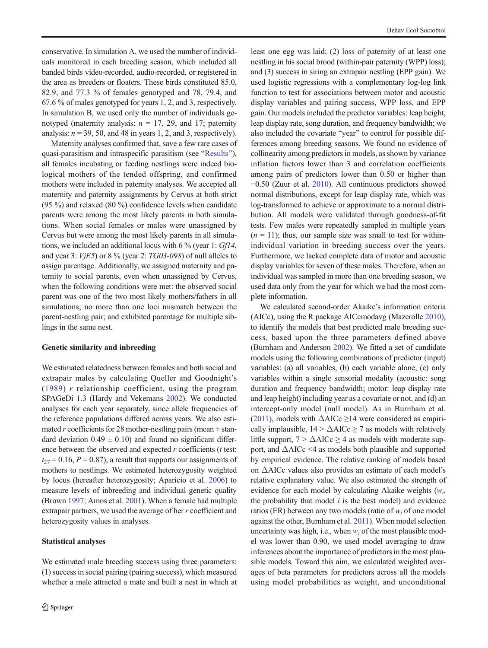conservative. In simulation A, we used the number of individuals monitored in each breeding season, which included all banded birds video-recorded, audio-recorded, or registered in the area as breeders or floaters. These birds constituted 85.0, 82.9, and 77.3 % of females genotyped and 78, 79.4, and 67.6 % of males genotyped for years 1, 2, and 3, respectively. In simulation B, we used only the number of individuals genotyped (maternity analysis:  $n = 17, 29,$  and 17; paternity analysis:  $n = 39, 50,$  and 48 in years 1, 2, and 3, respectively).

Maternity analyses confirmed that, save a few rare cases of quasi-parasitism and intraspecific parasitism (see "[Results](#page-6-0)"), all females incubating or feeding nestlings were indeed biological mothers of the tended offspring, and confirmed mothers were included in paternity analyses. We accepted all maternity and paternity assignments by Cervus at both strict (95 %) and relaxed (80 %) confidence levels when candidate parents were among the most likely parents in both simulations. When social females or males were unassigned by Cervus but were among the most likely parents in all simulations, we included an additional locus with 6 % (year 1: Gf14, and year 3:  $VjE5$ ) or 8 % (year 2:  $TG03-098$ ) of null alleles to assign parentage. Additionally, we assigned maternity and paternity to social parents, even when unassigned by Cervus, when the following conditions were met: the observed social parent was one of the two most likely mothers/fathers in all simulations; no more than one loci mismatch between the parent-nestling pair; and exhibited parentage for multiple siblings in the same nest.

## Genetic similarity and inbreeding

We estimated relatedness between females and both social and extrapair males by calculating Queller and Goodnight's ([1989\)](#page-12-0)  $r$  relationship coefficient, using the program SPAGeDi 1.3 (Hardy and Vekemans [2002\)](#page-12-0). We conducted analyses for each year separately, since allele frequencies of the reference populations differed across years. We also estimated r coefficients for 28 mother-nestling pairs (mean  $\pm$  standard deviation  $0.49 \pm 0.10$ ) and found no significant difference between the observed and expected  $r$  coefficients ( $t$  test:  $t_{27} = 0.16$ ,  $P = 0.87$ ), a result that supports our assignments of mothers to nestlings. We estimated heterozygosity weighted by locus (hereafter heterozygosity; Aparicio et al. [2006\)](#page-11-0) to measure levels of inbreeding and individual genetic quality (Brown [1997](#page-11-0); Amos et al. [2001\)](#page-11-0). When a female had multiple extrapair partners, we used the average of her r coefficient and heterozygosity values in analyses.

#### Statistical analyses

We estimated male breeding success using three parameters: (1) success in social pairing (pairing success), which measured whether a male attracted a mate and built a nest in which at

least one egg was laid; (2) loss of paternity of at least one nestling in his social brood (within-pair paternity (WPP) loss); and (3) success in siring an extrapair nestling (EPP gain). We used logistic regressions with a complementary log-log link function to test for associations between motor and acoustic display variables and pairing success, WPP loss, and EPP gain. Our models included the predictor variables: leap height, leap display rate, song duration, and frequency bandwidth; we also included the covariate "year" to control for possible differences among breeding seasons. We found no evidence of collinearity among predictors in models, as shown by variance inflation factors lower than 3 and correlation coefficients among pairs of predictors lower than 0.50 or higher than −0.50 (Zuur et al. [2010](#page-13-0)). All continuous predictors showed normal distributions, except for leap display rate, which was log-transformed to achieve or approximate to a normal distribution. All models were validated through goodness-of-fit tests. Few males were repeatedly sampled in multiple years  $(n = 11)$ ; thus, our sample size was small to test for withinindividual variation in breeding success over the years. Furthermore, we lacked complete data of motor and acoustic display variables for seven of these males. Therefore, when an individual was sampled in more than one breeding season, we used data only from the year for which we had the most complete information.

We calculated second-order Akaike's information criteria (AICc), using the R package AICcmodavg (Mazerolle [2010\)](#page-12-0), to identify the models that best predicted male breeding success, based upon the three parameters defined above (Burnham and Anderson [2002\)](#page-11-0). We fitted a set of candidate models using the following combinations of predictor (input) variables: (a) all variables, (b) each variable alone, (c) only variables within a single sensorial modality (acoustic: song duration and frequency bandwidth; motor: leap display rate and leap height) including year as a covariate or not, and (d) an intercept-only model (null model). As in Burnham et al. [\(2011\)](#page-11-0), models with  $\triangle$ AICc  $\geq$ 14 were considered as empirically implausible,  $14 > \Delta AICc \ge 7$  as models with relatively little support,  $7 > \Delta AICc \geq 4$  as models with moderate support, and  $\triangle$ AICc <4 as models both plausible and supported by empirical evidence. The relative ranking of models based on ΔAICc values also provides an estimate of each model's relative explanatory value. We also estimated the strength of evidence for each model by calculating Akaike weights  $(w_i)$ , the probability that model  $i$  is the best model) and evidence ratios (ER) between any two models (ratio of  $w_i$  of one model against the other, Burnham et al. [2011\)](#page-11-0). When model selection uncertainty was high, i.e., when  $w_i$  of the most plausible model was lower than 0.90, we used model averaging to draw inferences about the importance of predictors in the most plausible models. Toward this aim, we calculated weighted averages of beta parameters for predictors across all the models using model probabilities as weight, and unconditional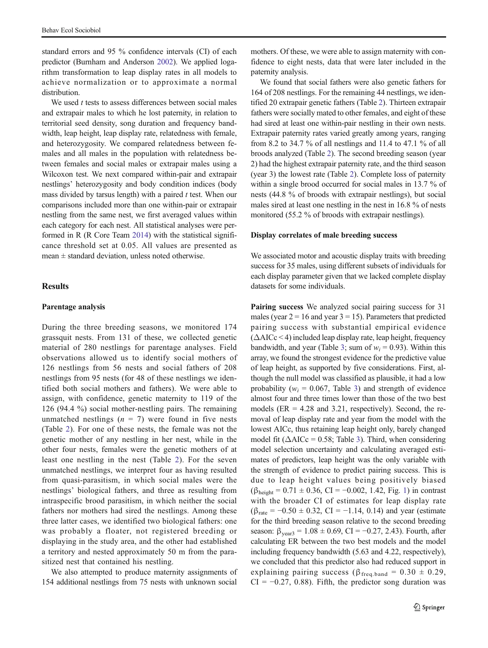<span id="page-6-0"></span>standard errors and 95 % confidence intervals (CI) of each predictor (Burnham and Anderson [2002](#page-11-0)). We applied logarithm transformation to leap display rates in all models to achieve normalization or to approximate a normal distribution.

We used  $t$  tests to assess differences between social males and extrapair males to which he lost paternity, in relation to territorial seed density, song duration and frequency bandwidth, leap height, leap display rate, relatedness with female, and heterozygosity. We compared relatedness between females and all males in the population with relatedness between females and social males or extrapair males using a Wilcoxon test. We next compared within-pair and extrapair nestlings' heterozygosity and body condition indices (body mass divided by tarsus length) with a paired  $t$  test. When our comparisons included more than one within-pair or extrapair nestling from the same nest, we first averaged values within each category for each nest. All statistical analyses were performed in R (R Core Team [2014](#page-12-0)) with the statistical significance threshold set at 0.05. All values are presented as  $mean \pm standard$  deviation, unless noted otherwise.

# **Results**

# Parentage analysis

During the three breeding seasons, we monitored 174 grassquit nests. From 131 of these, we collected genetic material of 280 nestlings for parentage analyses. Field observations allowed us to identify social mothers of 126 nestlings from 56 nests and social fathers of 208 nestlings from 95 nests (for 48 of these nestlings we identified both social mothers and fathers). We were able to assign, with confidence, genetic maternity to 119 of the 126 (94.4 %) social mother-nestling pairs. The remaining unmatched nestlings  $(n = 7)$  were found in five nests (Table [2](#page-7-0)). For one of these nests, the female was not the genetic mother of any nestling in her nest, while in the other four nests, females were the genetic mothers of at least one nestling in the nest (Table [2\)](#page-7-0). For the seven unmatched nestlings, we interpret four as having resulted from quasi-parasitism, in which social males were the nestlings' biological fathers, and three as resulting from intraspecific brood parasitism, in which neither the social fathers nor mothers had sired the nestlings. Among these three latter cases, we identified two biological fathers: one was probably a floater, not registered breeding or displaying in the study area, and the other had established a territory and nested approximately 50 m from the parasitized nest that contained his nestling.

We also attempted to produce maternity assignments of 154 additional nestlings from 75 nests with unknown social

mothers. Of these, we were able to assign maternity with confidence to eight nests, data that were later included in the paternity analysis.

We found that social fathers were also genetic fathers for 164 of 208 nestlings. For the remaining 44 nestlings, we identified 20 extrapair genetic fathers (Table [2](#page-7-0)). Thirteen extrapair fathers were socially mated to other females, and eight of these had sired at least one within-pair nestling in their own nests. Extrapair paternity rates varied greatly among years, ranging from 8.2 to 34.7 % of all nestlings and 11.4 to 47.1 % of all broods analyzed (Table [2](#page-7-0)). The second breeding season (year 2) had the highest extrapair paternity rate, and the third season (year 3) the lowest rate (Table [2](#page-7-0)). Complete loss of paternity within a single brood occurred for social males in 13.7 % of nests (44.8 % of broods with extrapair nestlings), but social males sired at least one nestling in the nest in 16.8 % of nests monitored (55.2 % of broods with extrapair nestlings).

#### Display correlates of male breeding success

We associated motor and acoustic display traits with breeding success for 35 males, using different subsets of individuals for each display parameter given that we lacked complete display datasets for some individuals.

Pairing success We analyzed social pairing success for 31 males (year  $2 = 16$  and year  $3 = 15$ ). Parameters that predicted pairing success with substantial empirical evidence  $(\Delta AICc < 4)$  included leap display rate, leap height, frequency bandwidth, and year (Table [3;](#page-7-0) sum of  $w_i = 0.93$ ). Within this array, we found the strongest evidence for the predictive value of leap height, as supported by five considerations. First, although the null model was classified as plausible, it had a low probability ( $w_i = 0.067$ , Table [3\)](#page-7-0) and strength of evidence almost four and three times lower than those of the two best models ( $ER = 4.28$  and 3.21, respectively). Second, the removal of leap display rate and year from the model with the lowest AICc, thus retaining leap height only, barely changed model fit ( $\triangle$ AICc = 0.58; Table [3\)](#page-7-0). Third, when considering model selection uncertainty and calculating averaged estimates of predictors, leap height was the only variable with the strength of evidence to predict pairing success. This is due to leap height values being positively biased  $(\beta_{height} = 0.71 \pm 0.36, CI = -0.002, 1.42, Fig. 1)$  $(\beta_{height} = 0.71 \pm 0.36, CI = -0.002, 1.42, Fig. 1)$  in contrast with the broader CI of estimates for leap display rate  $(\beta_{\text{rate}} = -0.50 \pm 0.32, \text{ CI} = -1.14, 0.14)$  and year (estimate for the third breeding season relative to the second breeding season:  $\beta_{\text{year3}} = 1.08 \pm 0.69$ , CI = -0.27, 2.43). Fourth, after calculating ER between the two best models and the model including frequency bandwidth (5.63 and 4.22, respectively), we concluded that this predictor also had reduced support in explaining pairing success ( $\beta_{\text{freq-band}} = 0.30 \pm 0.29$ ,  $CI = -0.27, 0.88$ . Fifth, the predictor song duration was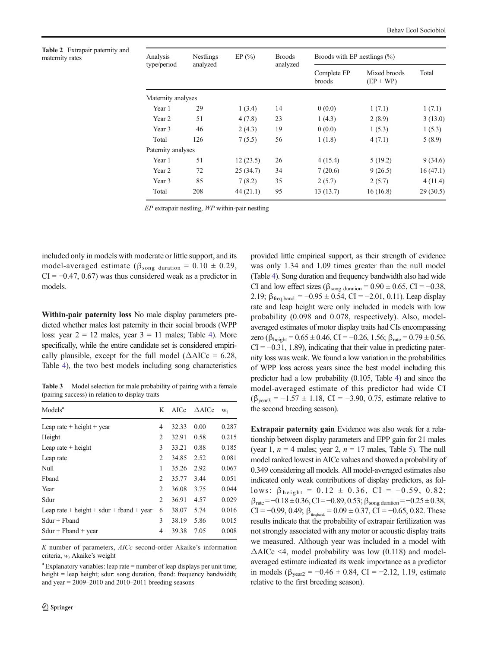<span id="page-7-0"></span>Table 2 Extrapair paternity and maternity rates

| Analysis           | <b>Nestlings</b> | EP(%)    | <b>Broods</b> | Broods with EP nestlings $(\% )$ |                             |          |  |
|--------------------|------------------|----------|---------------|----------------------------------|-----------------------------|----------|--|
| type/period        | analyzed         |          | analyzed      | Complete EP<br>broods            | Mixed broods<br>$(EP + WP)$ | Total    |  |
| Maternity analyses |                  |          |               |                                  |                             |          |  |
| Year 1             | 29               | 1(3.4)   | 14            | 0(0.0)                           | 1(7.1)                      | 1(7.1)   |  |
| Year 2             | 51               | 4(7.8)   | 23            | 1(4.3)                           | 2(8.9)                      | 3(13.0)  |  |
| Year 3             | 46               | 2(4.3)   | 19            | 0(0.0)                           | 1(5.3)                      | 1(5.3)   |  |
| Total              | 126              | 7(5.5)   | 56            | 1(1.8)                           | 4(7.1)                      | 5(8.9)   |  |
| Paternity analyses |                  |          |               |                                  |                             |          |  |
| Year 1             | 51               | 12(23.5) | 26            | 4(15.4)                          | 5(19.2)                     | 9(34.6)  |  |
| Year 2             | 72               | 25(34.7) | 34            | 7(20.6)                          | 9(26.5)                     | 16(47.1) |  |
| Year 3             | 85               | 7(8.2)   | 35            | 2(5.7)                           | 2(5.7)                      | 4(11.4)  |  |
| Total              | 208              | 44(21.1) | 95            | 13(13.7)                         | 16(16.8)                    | 29(30.5) |  |

EP extrapair nestling, WP within-pair nestling

included only in models with moderate or little support, and its model-averaged estimate ( $\beta_{\text{song duration}} = 0.10 \pm 0.29$ ,  $CI = -0.47, 0.67$  was thus considered weak as a predictor in models.

Within-pair paternity loss No male display parameters predicted whether males lost paternity in their social broods (WPP loss: year  $2 = 12$  males, year  $3 = 11$  males; Table [4](#page-8-0)). More specifically, while the entire candidate set is considered empirically plausible, except for the full model ( $\triangle$ AICc = 6.28, Table [4\)](#page-8-0), the two best models including song characteristics

Table 3 Model selection for male probability of pairing with a female (pairing success) in relation to display traits

| Models <sup>a</sup>                      | K              | AICc  | $\triangle$ AICc | W <sub>i</sub> |
|------------------------------------------|----------------|-------|------------------|----------------|
| Leap rate $+$ height $+$ year            | 4              | 32.33 | 0.00             | 0.287          |
| Height                                   | $\overline{c}$ | 32.91 | 0.58             | 0.215          |
| Leap rate $+$ height                     | 3              | 33.21 | 0.88             | 0.185          |
| Leap rate                                | $\overline{c}$ | 34.85 | 2.52             | 0.081          |
| Null                                     | 1              | 35.26 | 2.92             | 0.067          |
| Fhand                                    | $\mathfrak{D}$ | 35.77 | 3.44             | 0.051          |
| Year                                     | 2              | 36.08 | 3.75             | 0.044          |
| Sdur                                     | 2              | 36.91 | 4.57             | 0.029          |
| Leap rate + height + sdur + fband + year | 6              | 38.07 | 5.74             | 0.016          |
| $Sdur + Fband$                           | 3              | 38.19 | 5.86             | 0.015          |
| $Sdur + Fband + year$                    | 4              | 39.38 | 7.05             | 0.008          |

K number of parameters, AICc second-order Akaike's information criteria,  $w_i$  Akaike's weight

<sup>a</sup> Explanatory variables: leap rate = number of leap displays per unit time; height = leap height; sdur: song duration, fband: frequency bandwidth; and year  $= 2009 - 2010$  and  $2010 - 2011$  breeding seasons

provided little empirical support, as their strength of evidence was only 1.34 and 1.09 times greater than the null model (Table [4](#page-8-0)). Song duration and frequency bandwidth also had wide CI and low effect sizes ( $\beta_{\text{song duration}} = 0.90 \pm 0.65$ , CI = -0.38, 2.19;  $\beta_{\text{free,band}} = -0.95 \pm 0.54$ , CI = -2.01, 0.11). Leap display rate and leap height were only included in models with low probability (0.098 and 0.078, respectively). Also, modelaveraged estimates of motor display traits had CIs encompassing zero ( $\beta_{\text{height}} = 0.65 \pm 0.46$ , CI = -0.26, 1.56;  $\beta_{\text{rate}} = 0.79 \pm 0.56$ ,  $CI = -0.31, 1.89$ , indicating that their value in predicting paternity loss was weak. We found a low variation in the probabilities of WPP loss across years since the best model including this predictor had a low probability (0.105, Table [4\)](#page-8-0) and since the model-averaged estimate of this predictor had wide CI  $(\beta_{\text{year3}} = -1.57 \pm 1.18, \text{ CI} = -3.90, 0.75, \text{ estimate relative to}$ the second breeding season).

Extrapair paternity gain Evidence was also weak for a relationship between display parameters and EPP gain for 21 males (year 1,  $n = 4$  males; year 2,  $n = 17$  males, Table [5\)](#page-8-0). The null model ranked lowest in AICc values and showed a probability of 0.349 considering all models. All model-averaged estimates also indicated only weak contributions of display predictors, as follows:  $β_{height} = 0.12 \pm 0.36$ , CI = -0.59, 0.82;  $β_{\text{rate}} = -0.18 ± 0.36, CI = -0.89, 0.53; β_{\text{song duration}} = -0.25 ± 0.38,$ CI = −0.99, 0.49;  $\beta_{\text{f}} = 0.09 \pm 0.37$ , CI = −0.65, 0.82. These results indicate that the probability of extrapair fertilization was not strongly associated with any motor or acoustic display traits we measured. Although year was included in a model with  $\Delta AICc \leq 4$ , model probability was low (0.118) and modelaveraged estimate indicated its weak importance as a predictor in models ( $\beta_{\text{year2}} = -0.46 \pm 0.84$ , CI = -2.12, 1.19, estimate relative to the first breeding season).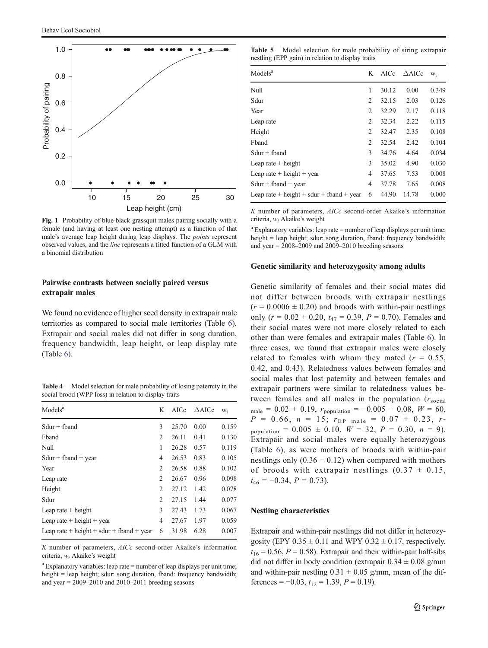<span id="page-8-0"></span>

Fig. 1 Probability of blue-black grassquit males pairing socially with a female (and having at least one nesting attempt) as a function of that male's average leap height during leap displays. The points represent observed values, and the line represents a fitted function of a GLM with a binomial distribution

# Pairwise contrasts between socially paired versus extrapair males

We found no evidence of higher seed density in extrapair male territories as compared to social male territories (Table [6](#page-9-0)). Extrapair and social males did not differ in song duration, frequency bandwidth, leap height, or leap display rate (Table [6](#page-9-0)).

Table 4 Model selection for male probability of losing paternity in the social brood (WPP loss) in relation to display traits

| Models <sup>a</sup>                      | K              | AICc  | $\triangle$ AICc | Wi    |
|------------------------------------------|----------------|-------|------------------|-------|
| $Sdur + fband$                           | 3              | 25.70 | 0.00             | 0.159 |
| Fhand                                    | $\overline{c}$ | 26.11 | 0.41             | 0.130 |
| Null                                     | 1              | 26.28 | 0.57             | 0.119 |
| $Sdur + fband + year$                    | 4              | 26.53 | 0.83             | 0.105 |
| Year                                     | $\mathfrak{D}$ | 26.58 | 0.88             | 0.102 |
| Leap rate                                | 2              | 26.67 | 0.96             | 0.098 |
| Height                                   | $\overline{c}$ | 27.12 | 1.42             | 0.078 |
| Sdur                                     | $\overline{c}$ | 27.15 | 1.44             | 0.077 |
| Leap rate $+$ height                     | 3              | 27.43 | 1.73             | 0.067 |
| Leap rate $+$ height $+$ year            | 4              | 27.67 | 1.97             | 0.059 |
| Leap rate + height + sdur + fband + year | 6              | 31.98 | 6.28             | 0.007 |

K number of parameters, AICc second-order Akaike's information criteria,  $w_i$  Akaike's weight

<sup>a</sup> Explanatory variables: leap rate = number of leap displays per unit time; height = leap height; sdur: song duration, fband: frequency bandwidth; and year  $= 2009 - 2010$  and  $2010 - 2011$  breeding seasons

Table 5 Model selection for male probability of siring extrapair nestling (EPP gain) in relation to display traits

| Models <sup>a</sup>                              | K              | AICc  | $\triangle$ AICc | W <sub>i</sub> |
|--------------------------------------------------|----------------|-------|------------------|----------------|
| Null                                             | 1              | 30.12 | 0.00             | 0.349          |
| Sdur                                             | $\mathcal{L}$  | 32.15 | 2.03             | 0.126          |
| Year                                             | $\overline{c}$ | 32.29 | 2.17             | 0.118          |
| Leap rate                                        | $\overline{c}$ | 32.34 | 2.22             | 0.115          |
| Height                                           | $\overline{c}$ | 32.47 | 2.35             | 0.108          |
| Fband                                            | $\overline{2}$ | 32.54 | 2.42             | 0.104          |
| $Sdur + fband$                                   | 3              | 34.76 | 4.64             | 0.034          |
| Leap rate $+$ height                             | 3              | 35.02 | 4.90             | 0.030          |
| Leap rate $+$ height $+$ year                    | 4              | 37.65 | 7.53             | 0.008          |
| $Sdur + fband + year$                            | 4              | 37.78 | 7.65             | 0.008          |
| Leap rate $+$ height $+$ sdur $+$ fband $+$ year | 6              | 44.90 | 14.78            | 0.000          |

K number of parameters, AICc second-order Akaike's information criteria,  $w_i$  Akaike's weight

<sup>a</sup> Explanatory variables: leap rate = number of leap displays per unit time; height = leap height; sdur: song duration, fband: frequency bandwidth; and year  $= 2008 - 2009$  and  $2009 - 2010$  breeding seasons

#### Genetic similarity and heterozygosity among adults

Genetic similarity of females and their social mates did not differ between broods with extrapair nestlings  $(r = 0.0006 \pm 0.20)$  and broods with within-pair nestlings only ( $r = 0.02 \pm 0.20$ ,  $t_{47} = 0.39$ ,  $P = 0.70$ ). Females and their social mates were not more closely related to each other than were females and extrapair males (Table [6\)](#page-9-0). In three cases, we found that extrapair males were closely related to females with whom they mated ( $r = 0.55$ , 0.42, and 0.43). Relatedness values between females and social males that lost paternity and between females and extrapair partners were similar to relatedness values between females and all males in the population  $(r_{\text{social}})$ male =  $0.02 \pm 0.19$ ,  $r_{\text{population}} = -0.005 \pm 0.08$ ,  $W = 60$ ,  $P = 0.66$ ,  $n = 15$ ;  $r_{EP \text{male}} = 0.07 \pm 0.23$ , rpopulation =  $0.005 \pm 0.10$ ,  $W = 32$ ,  $P = 0.30$ ,  $n = 9$ ). Extrapair and social males were equally heterozygous (Table [6](#page-9-0)), as were mothers of broods with within-pair nestlings only  $(0.36 \pm 0.12)$  when compared with mothers of broods with extrapair nestlings  $(0.37 \pm 0.15,$  $t_{46} = -0.34, P = 0.73$ .

#### Nestling characteristics

Extrapair and within-pair nestlings did not differ in heterozygosity (EPY  $0.35 \pm 0.11$  and WPY  $0.32 \pm 0.17$ , respectively,  $t_{16} = 0.56$ ,  $P = 0.58$ ). Extrapair and their within-pair half-sibs did not differ in body condition (extrapair  $0.34 \pm 0.08$  g/mm and within-pair nestling  $0.31 \pm 0.05$  g/mm, mean of the differences =  $-0.03$ ,  $t_{12} = 1.39$ ,  $P = 0.19$ ).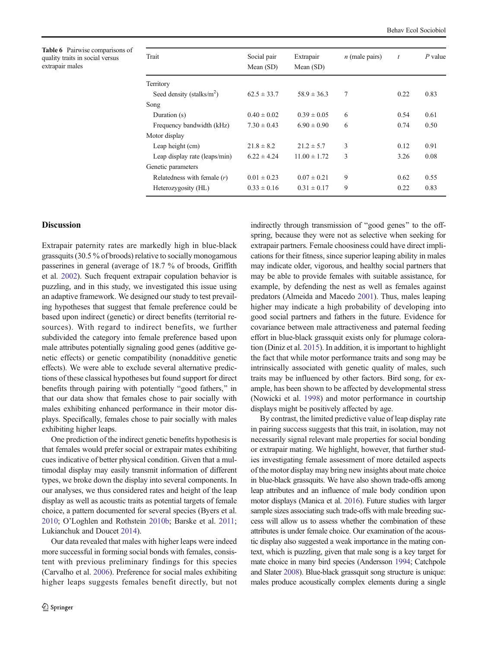<span id="page-9-0"></span>Table 6 Pairwise comparisons of quality traits in social versus extrapair males

| Trait                         | Social pair     | Extrapair        | $n$ (male pairs) | $\boldsymbol{t}$ | $P$ value |
|-------------------------------|-----------------|------------------|------------------|------------------|-----------|
|                               | Mean (SD)       | Mean $(SD)$      |                  |                  |           |
| Territory                     |                 |                  |                  |                  |           |
| Seed density (stalks/ $m2$ )  | $62.5 \pm 33.7$ | $58.9 \pm 36.3$  | 7                | 0.22             | 0.83      |
| Song                          |                 |                  |                  |                  |           |
| Duration (s)                  | $0.40 \pm 0.02$ | $0.39 \pm 0.05$  | 6                | 0.54             | 0.61      |
| Frequency bandwidth (kHz)     | $7.30 \pm 0.43$ | $6.90 \pm 0.90$  | 6                | 0.74             | 0.50      |
| Motor display                 |                 |                  |                  |                  |           |
| Leap height (cm)              | $21.8 \pm 8.2$  | $21.2 \pm 5.7$   | 3                | 0.12             | 0.91      |
| Leap display rate (leaps/min) | $6.22 \pm 4.24$ | $11.00 \pm 1.72$ | 3                | 3.26             | 0.08      |
| Genetic parameters            |                 |                  |                  |                  |           |
| Relatedness with female $(r)$ | $0.01 \pm 0.23$ | $0.07 \pm 0.21$  | 9                | 0.62             | 0.55      |
| Heterozygosity (HL)           | $0.33 \pm 0.16$ | $0.31 \pm 0.17$  | 9                | 0.22             | 0.83      |

# **Discussion**

Extrapair paternity rates are markedly high in blue-black grassquits (30.5 % of broods) relative to socially monogamous passerines in general (average of 18.7 % of broods, Griffith et al. [2002](#page-12-0)). Such frequent extrapair copulation behavior is puzzling, and in this study, we investigated this issue using an adaptive framework. We designed our study to test prevailing hypotheses that suggest that female preference could be based upon indirect (genetic) or direct benefits (territorial resources). With regard to indirect benefits, we further subdivided the category into female preference based upon male attributes potentially signaling good genes (additive genetic effects) or genetic compatibility (nonadditive genetic effects). We were able to exclude several alternative predictions of these classical hypotheses but found support for direct benefits through pairing with potentially "good fathers," in that our data show that females chose to pair socially with males exhibiting enhanced performance in their motor displays. Specifically, females chose to pair socially with males exhibiting higher leaps.

One prediction of the indirect genetic benefits hypothesis is that females would prefer social or extrapair mates exhibiting cues indicative of better physical condition. Given that a multimodal display may easily transmit information of different types, we broke down the display into several components. In our analyses, we thus considered rates and height of the leap display as well as acoustic traits as potential targets of female choice, a pattern documented for several species (Byers et al. [2010;](#page-11-0) O'Loghlen and Rothstein [2010b;](#page-12-0) Barske et al. [2011](#page-11-0); Lukianchuk and Doucet [2014](#page-12-0)).

Our data revealed that males with higher leaps were indeed more successful in forming social bonds with females, consistent with previous preliminary findings for this species (Carvalho et al. [2006\)](#page-11-0). Preference for social males exhibiting higher leaps suggests females benefit directly, but not indirectly through transmission of "good genes" to the offspring, because they were not as selective when seeking for extrapair partners. Female choosiness could have direct implications for their fitness, since superior leaping ability in males may indicate older, vigorous, and healthy social partners that may be able to provide females with suitable assistance, for example, by defending the nest as well as females against predators (Almeida and Macedo [2001](#page-11-0)). Thus, males leaping higher may indicate a high probability of developing into good social partners and fathers in the future. Evidence for covariance between male attractiveness and paternal feeding effort in blue-black grassquit exists only for plumage coloration (Diniz et al. [2015](#page-11-0)). In addition, it is important to highlight the fact that while motor performance traits and song may be intrinsically associated with genetic quality of males, such traits may be influenced by other factors. Bird song, for example, has been shown to be affected by developmental stress (Nowicki et al. [1998\)](#page-12-0) and motor performance in courtship displays might be positively affected by age.

By contrast, the limited predictive value of leap display rate in pairing success suggests that this trait, in isolation, may not necessarily signal relevant male properties for social bonding or extrapair mating. We highlight, however, that further studies investigating female assessment of more detailed aspects of the motor display may bring new insights about mate choice in blue-black grassquits. We have also shown trade-offs among leap attributes and an influence of male body condition upon motor displays (Manica et al. [2016](#page-12-0)). Future studies with larger sample sizes associating such trade-offs with male breeding success will allow us to assess whether the combination of these attributes is under female choice. Our examination of the acoustic display also suggested a weak importance in the mating context, which is puzzling, given that male song is a key target for mate choice in many bird species (Andersson [1994;](#page-11-0) Catchpole and Slater [2008](#page-11-0)). Blue-black grassquit song structure is unique: males produce acoustically complex elements during a single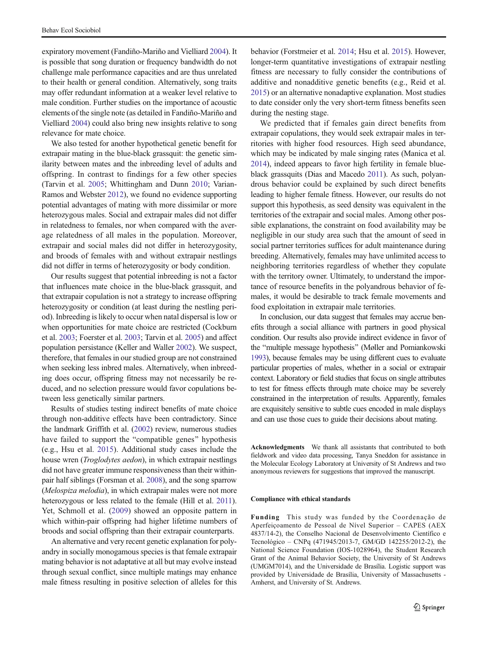expiratory movement (Fandiño-Mariño and Vielliard [2004\)](#page-11-0). It is possible that song duration or frequency bandwidth do not challenge male performance capacities and are thus unrelated to their health or general condition. Alternatively, song traits may offer redundant information at a weaker level relative to male condition. Further studies on the importance of acoustic elements of the single note (as detailed in Fandiño-Mariño and Vielliard [2004\)](#page-11-0) could also bring new insights relative to song relevance for mate choice.

We also tested for another hypothetical genetic benefit for extrapair mating in the blue-black grassquit: the genetic similarity between mates and the inbreeding level of adults and offspring. In contrast to findings for a few other species (Tarvin et al. [2005;](#page-12-0) Whittingham and Dunn [2010;](#page-13-0) Varian-Ramos and Webster [2012\)](#page-13-0), we found no evidence supporting potential advantages of mating with more dissimilar or more heterozygous males. Social and extrapair males did not differ in relatedness to females, nor when compared with the average relatedness of all males in the population. Moreover, extrapair and social males did not differ in heterozygosity, and broods of females with and without extrapair nestlings did not differ in terms of heterozygosity or body condition.

Our results suggest that potential inbreeding is not a factor that influences mate choice in the blue-black grassquit, and that extrapair copulation is not a strategy to increase offspring heterozygosity or condition (at least during the nestling period). Inbreeding is likely to occur when natal dispersal is low or when opportunities for mate choice are restricted (Cockburn et al. [2003;](#page-11-0) Foerster et al. [2003;](#page-11-0) Tarvin et al. [2005](#page-12-0)) and affect population persistance (Keller and Waller [2002\)](#page-12-0). We suspect, therefore, that females in our studied group are not constrained when seeking less inbred males. Alternatively, when inbreeding does occur, offspring fitness may not necessarily be reduced, and no selection pressure would favor copulations between less genetically similar partners.

Results of studies testing indirect benefits of mate choice through non-additive effects have been contradictory. Since the landmark Griffith et al. ([2002](#page-12-0)) review, numerous studies have failed to support the "compatible genes" hypothesis (e.g., Hsu et al. [2015\)](#page-12-0). Additional study cases include the house wren (Troglodytes aedon), in which extrapair nestlings did not have greater immune responsiveness than their withinpair half siblings (Forsman et al. [2008](#page-11-0)), and the song sparrow (Melospiza melodia), in which extrapair males were not more heterozygous or less related to the female (Hill et al. [2011\)](#page-12-0). Yet, Schmoll et al. [\(2009\)](#page-12-0) showed an opposite pattern in which within-pair offspring had higher lifetime numbers of broods and social offspring than their extrapair counterparts.

An alternative and very recent genetic explanation for polyandry in socially monogamous species is that female extrapair mating behavior is not adaptative at all but may evolve instead through sexual conflict, since multiple matings may enhance male fitness resulting in positive selection of alleles for this

behavior (Forstmeier et al. [2014](#page-11-0); Hsu et al. [2015\)](#page-12-0). However, longer-term quantitative investigations of extrapair nestling fitness are necessary to fully consider the contributions of additive and nonadditive genetic benefits (e.g., Reid et al. [2015\)](#page-12-0) or an alternative nonadaptive explanation. Most studies to date consider only the very short-term fitness benefits seen during the nesting stage.

We predicted that if females gain direct benefits from extrapair copulations, they would seek extrapair males in territories with higher food resources. High seed abundance, which may be indicated by male singing rates (Manica et al. [2014\)](#page-12-0), indeed appears to favor high fertility in female blueblack grassquits (Dias and Macedo [2011\)](#page-11-0). As such, polyandrous behavior could be explained by such direct benefits leading to higher female fitness. However, our results do not support this hypothesis, as seed density was equivalent in the territories of the extrapair and social males. Among other possible explanations, the constraint on food availability may be negligible in our study area such that the amount of seed in social partner territories suffices for adult maintenance during breeding. Alternatively, females may have unlimited access to neighboring territories regardless of whether they copulate with the territory owner. Ultimately, to understand the importance of resource benefits in the polyandrous behavior of females, it would be desirable to track female movements and food exploitation in extrapair male territories.

In conclusion, our data suggest that females may accrue benefits through a social alliance with partners in good physical condition. Our results also provide indirect evidence in favor of the "multiple message hypothesis" (Møller and Pomiankowski [1993\)](#page-12-0), because females may be using different cues to evaluate particular properties of males, whether in a social or extrapair context. Laboratory or field studies that focus on single attributes to test for fitness effects through mate choice may be severely constrained in the interpretation of results. Apparently, females are exquisitely sensitive to subtle cues encoded in male displays and can use those cues to guide their decisions about mating.

Acknowledgments We thank all assistants that contributed to both fieldwork and video data processing, Tanya Sneddon for assistance in the Molecular Ecology Laboratory at University of St Andrews and two anonymous reviewers for suggestions that improved the manuscript.

#### Compliance with ethical standards

Funding This study was funded by the Coordenação de Aperfeiçoamento de Pessoal de Nível Superior – CAPES (AEX 4837/14-2), the Conselho Nacional de Desenvolvimento Científico e Tecnológico – CNPq (471945/2013-7, GM/GD 142255/2012-2), the National Science Foundation (IOS-1028964), the Student Research Grant of the Animal Behavior Society, the University of St Andrews (UMGM7014), and the Universidade de Brasília. Logistic support was provided by Universidade de Brasília, University of Massachusetts - Amherst, and University of St. Andrews.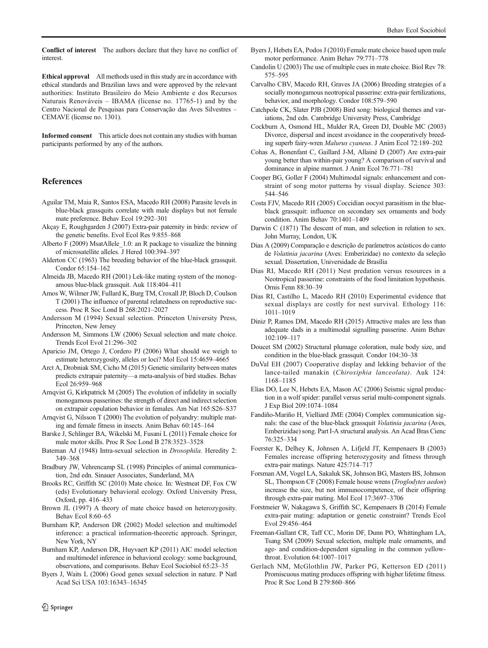<span id="page-11-0"></span>Conflict of interest The authors declare that they have no conflict of interest.

Ethical approval All methods used in this study are in accordance with ethical standards and Brazilian laws and were approved by the relevant authorities: Instituto Brasileiro do Meio Ambiente e dos Recursos Naturais Renováveis – IBAMA (license no. 17765-1) and by the Centro Nacional de Pesquisas para Conservação das Aves Silvestres – CEMAVE (license no. 1301).

Informed consent This article does not contain any studies with human participants performed by any of the authors.

## References

- Aguilar TM, Maia R, Santos ESA, Macedo RH (2008) Parasite levels in blue-black grassquits correlate with male displays but not female mate preference. Behav Ecol 19:292–301
- Akçay E, Roughgarden J (2007) Extra-pair paternity in birds: review of the genetic benefits. Evol Ecol Res 9:855–868
- Alberto F (2009) MsatAllele\_1.0: an R package to visualize the binning of microsatellite alleles. J Hered 100:394–397
- Alderton CC (1963) The breeding behavior of the blue-black grassquit. Condor 65:154–162
- Almeida JB, Macedo RH (2001) Lek-like mating system of the monogamous blue-black grassquit. Auk 118:404–411
- Amos W, Wilmer JW, Fullard K, Burg TM, Croxall JP, Bloch D, Coulson T (2001) The influence of parental relatedness on reproductive success. Proc R Soc Lond B 268:2021–2027
- Andersson M (1994) Sexual selection. Princeton University Press, Princeton, New Jersey
- Andersson M, Simmons LW (2006) Sexual selection and mate choice. Trends Ecol Evol 21:296–302
- Aparicio JM, Ortego J, Cordero PJ (2006) What should we weigh to estimate heterozygosity, alleles or loci? Mol Ecol 15:4659–4665
- Arct A, Drobniak SM, Cicho M (2015) Genetic similarity between mates predicts extrapair paternity—a meta-analysis of bird studies. Behav Ecol 26:959–968
- Arnqvist G, Kirkpatrick M (2005) The evolution of infidelity in socially monogamous passerines: the strength of direct and indirect selection on extrapair copulation behavior in females. Am Nat 165:S26–S37
- Arnavist G, Nilsson T (2000) The evolution of polyandry: multiple mating and female fitness in insects. Anim Behav 60:145–164
- Barske J, Schlinger BA, Wikelski M, Fusani L (2011) Female choice for male motor skills. Proc R Soc Lond B 278:3523–3528
- Bateman AJ (1948) Intra-sexual selection in Drosophila. Heredity 2: 349–368
- Bradbury JW, Vehrencamp SL (1998) Principles of animal communication, 2nd edn. Sinauer Associates, Sunderland, MA
- Brooks RC, Griffith SC (2010) Mate choice. In: Westneat DF, Fox CW (eds) Evolutionary behavioral ecology. Oxford University Press, Oxford, pp. 416–433
- Brown JL (1997) A theory of mate choice based on heterozygosity. Behav Ecol 8:60–65
- Burnham KP, Anderson DR (2002) Model selection and multimodel inference: a practical information-theoretic approach. Springer, New York, NY
- Burnham KP, Anderson DR, Huyvaert KP (2011) AIC model selection and multimodel inference in behavioral ecology: some background, observations, and comparisons. Behav Ecol Sociobiol 65:23–35
- Byers J, Waits L (2006) Good genes sexual selection in nature. P Natl Acad Sci USA 103:16343–16345
- Byers J, Hebets EA, Podos J (2010) Female mate choice based upon male motor performance. Anim Behav 79:771–778
- Candolin U (2003) The use of multiple cues in mate choice. Biol Rev 78: 575–595
- Carvalho CBV, Macedo RH, Graves JA (2006) Breeding strategies of a socially monogamous neotropical passerine: extra-pair fertilizations, behavior, and morphology. Condor 108:579–590
- Catchpole CK, Slater PJB (2008) Bird song: biological themes and variations, 2nd edn. Cambridge University Press, Cambridge
- Cockburn A, Osmond HL, Mulder RA, Green DJ, Double MC (2003) Divorce, dispersal and incest avoidance in the cooperatively breeding superb fairy-wren Malurus cyaneus. J Anim Ecol 72:189–202
- Cohas A, Bonenfant C, Gaillard J-M, Allainé D (2007) Are extra-pair young better than within-pair young? A comparison of survival and dominance in alpine marmot. J Anim Ecol 76:771–781
- Cooper BG, Goller F (2004) Multimodal signals: enhancement and constraint of song motor patterns by visual display. Science 303: 544–546
- Costa FJV, Macedo RH (2005) Coccidian oocyst parasitism in the blueblack grassquit: influence on secondary sex ornaments and body condition. Anim Behav 70:1401–1409
- Darwin C (1871) The descent of man, and selection in relation to sex. John Murray, London, UK
- Dias A (2009) Comparação e descrição de parâmetros acústicos do canto de Volatinia jacarina (Aves: Emberizidae) no contexto da seleção sexual. Dissertation, Universidade de Brasília
- Dias RI, Macedo RH (2011) Nest predation versus resources in a Neotropical passerine: constraints of the food limitation hypothesis. Ornis Fenn 88:30–39
- Dias RI, Castilho L, Macedo RH (2010) Experimental evidence that sexual displays are costly for nest survival. Ethology 116: 1011–1019
- Diniz P, Ramos DM, Macedo RH (2015) Attractive males are less than adequate dads in a multimodal signalling passerine. Anim Behav 102:109–117
- Doucet SM (2002) Structural plumage coloration, male body size, and condition in the blue-black grassquit. Condor 104:30–38
- DuVal EH (2007) Cooperative display and lekking behavior of the lance-tailed manakin (Chiroxiphia lanceolata). Auk 124: 1168–1185
- Elias DO, Lee N, Hebets EA, Mason AC (2006) Seismic signal production in a wolf spider: parallel versus serial multi-component signals. J Exp Biol 209:1074–1084
- Fandiño-Mariño H, Vielliard JME (2004) Complex communication signals: the case of the blue-black grassquit Volatinia jacarina (Aves, Emberizidae) song. Part I-A structural analysis. An Acad Bras Cienc 76:325–334
- Foerster K, Delhey K, Johnsen A, Lifjeld JT, Kempenaers B (2003) Females increase offspring heterozygosity and fitness through extra-pair matings. Nature 425:714–717
- Forsman AM, Vogel LA, Sakaluk SK, Johnson BG, Masters BS, Johnson SL, Thompson CF (2008) Female house wrens (Troglodytes aedon) increase the size, but not immunocompetence, of their offspring through extra-pair mating. Mol Ecol 17:3697–3706
- Forstmeier W, Nakagawa S, Griffith SC, Kempenaers B (2014) Female extra-pair mating: adaptation or genetic constraint? Trends Ecol Evol 29:456–464
- Freeman-Gallant CR, Taff CC, Morin DF, Dunn PO, Whittingham LA, Tsang SM (2009) Sexual selection, multiple male ornaments, and age- and condition-dependent signaling in the common yellowthroat. Evolution 64:1007–1017
- Gerlach NM, McGlothlin JW, Parker PG, Ketterson ED (2011) Promiscuous mating produces offspring with higher lifetime fitness. Proc R Soc Lond B 279:860–866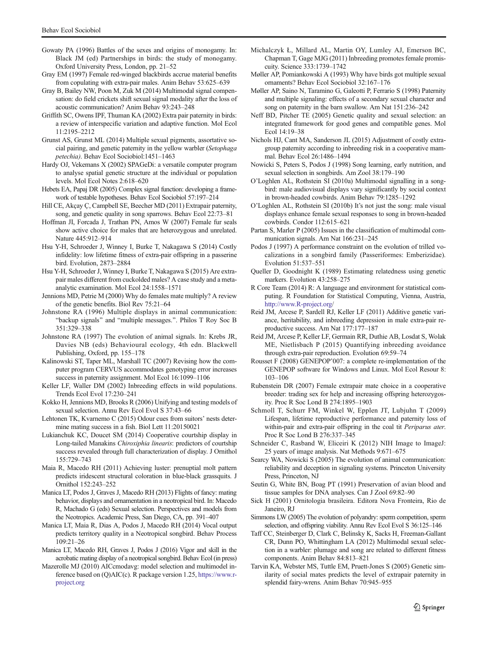- <span id="page-12-0"></span>Gowaty PA (1996) Battles of the sexes and origins of monogamy. In: Black JM (ed) Partnerships in birds: the study of monogamy. Oxford University Press, London, pp. 21–52
- Gray EM (1997) Female red-winged blackbirds accrue material benefits from copulating with extra-pair males. Anim Behav 53:625–639
- Gray B, Bailey NW, Poon M, Zuk M (2014) Multimodal signal compensation: do field crickets shift sexual signal modality after the loss of acoustic communication? Anim Behav 93:243–248
- Griffith SC, Owens IPF, Thuman KA (2002) Extra pair paternity in birds: a review of interspecific variation and adaptive function. Mol Ecol 11:2195–2212
- Grunst AS, Grunst ML (2014) Multiple sexual pigments, assortative social pairing, and genetic paternity in the yellow warbler (Setophaga petechia). Behav Ecol Sociobiol:1451–1463
- Hardy OJ, Vekemans X (2002) SPAGeDi: a versatile computer program to analyse spatial genetic structure at the individual or population levels. Mol Ecol Notes 2:618–620
- Hebets EA, Papaj DR (2005) Complex signal function: developing a framework of testable hypotheses. Behav Ecol Sociobiol 57:197–214
- Hill CE, Akçay Ç, Campbell SE, Beecher MD (2011) Extrapair paternity, song, and genetic quality in song sparrows. Behav Ecol 22:73–81
- Hoffman JI, Forcada J, Trathan PN, Amos W (2007) Female fur seals show active choice for males that are heterozygous and unrelated. Nature 445:912–914
- Hsu Y-H, Schroeder J, Winney I, Burke T, Nakagawa S (2014) Costly infidelity: low lifetime fitness of extra-pair offspring in a passerine bird. Evolution, 2873–2884
- Hsu Y-H, Schroeder J, Winney I, Burke T, Nakagawa S (2015) Are extrapair males different from cuckolded males? A case study and a metaanalytic examination. Mol Ecol 24:1558–1571
- Jennions MD, Petrie M (2000) Why do females mate multiply? A review of the genetic benefits. Biol Rev 75:21–64
- Johnstone RA (1996) Multiple displays in animal communication: "backup signals" and "multiple messages.". Philos T Roy Soc B 351:329–338
- Johnstone RA (1997) The evolution of animal signals. In: Krebs JR, Davies NB (eds) Behavioural ecology, 4th edn. Blackwell Publishing, Oxford, pp. 155–178
- Kalinowski ST, Taper ML, Marshall TC (2007) Revising how the computer program CERVUS accommodates genotyping error increases success in paternity assignment. Mol Ecol 16:1099–1106
- Keller LF, Waller DM (2002) Inbreeding effects in wild populations. Trends Ecol Evol 17:230–241
- Kokko H, Jennions MD, Brooks R (2006) Unifying and testing models of sexual selection. Annu Rev Ecol Evol S 37:43–66
- Lehtonen TK, Kvarnemo C (2015) Odour cues from suitors' nests determine mating success in a fish. Biol Lett 11:20150021
- Lukianchuk KC, Doucet SM (2014) Cooperative courtship display in Long-tailed Manakins Chiroxiphia linearis: predictors of courtship success revealed through full characterization of display. J Ornithol 155:729–743
- Maia R, Macedo RH (2011) Achieving luster: prenuptial molt pattern predicts iridescent structural coloration in blue-black grassquits. J Ornithol 152:243–252
- Manica LT, Podos J, Graves J, Macedo RH (2013) Flights of fancy: mating behavior, displays and ornamentation in a neotropical bird. In: Macedo R, Machado G (eds) Sexual selection. Perspectives and models from the Neotropics. Academic Press, San Diego, CA, pp. 391–407
- Manica LT, Maia R, Dias A, Podos J, Macedo RH (2014) Vocal output predicts territory quality in a Neotropical songbird. Behav Process 109:21–26
- Manica LT, Macedo RH, Graves J, Podos J (2016) Vigor and skill in the acrobatic mating display of a neotropical songbird. Behav Ecol (in press)
- Mazerolle MJ (2010) AICcmodavg: model selection and multimodel inference based on (Q)AIC(c). R package version 1.25, [https://www.r](https://www.r-project.org)[project.org](https://www.r-project.org)
- Michalczyk Ł, Millard AL, Martin OY, Lumley AJ, Emerson BC, Chapman T, Gage MJG (2011) Inbreeding promotes female promiscuity. Science 333:1739–1742
- Møller AP, Pomiankowski A (1993) Why have birds got multiple sexual ornaments? Behav Ecol Sociobiol 32:167–176
- Møller AP, Saino N, Taramino G, Galeotti P, Ferrario S (1998) Paternity and multiple signaling: effects of a secondary sexual character and song on paternity in the barn swallow. Am Nat 151:236–242
- Neff BD, Pitcher TE (2005) Genetic quality and sexual selection: an integrated framework for good genes and compatible genes. Mol Ecol 14:19–38
- Nichols HJ, Cant MA, Sanderson JL (2015) Adjustment of costly extragroup paternity according to inbreeding risk in a cooperative mammal. Behav Ecol 26:1486–1494
- Nowicki S, Peters S, Podos J (1998) Song learning, early nutrition, and sexual selection in songbirds. Am Zool 38:179–190
- O'Loghlen AL, Rothstein SI (2010a) Multimodal signalling in a songbird: male audiovisual displays vary significantly by social context in brown-headed cowbirds. Anim Behav 79:1285–1292
- O'Loghlen AL, Rothstein SI (2010b) It's not just the song: male visual displays enhance female sexual responses to song in brown-headed cowbirds. Condor 112:615–621
- Partan S, Marler P (2005) Issues in the classification of multimodal communication signals. Am Nat 166:231–245
- Podos J (1997) A performance constraint on the evolution of trilled vocalizations in a songbird family (Passeriformes: Emberizidae). Evolution 51:537–551
- Queller D, Goodnight K (1989) Estimating relatedness using genetic markers. Evolution 43:258–275
- R Core Team (2014) R: A language and environment for statistical computing. R Foundation for Statistical Computing, Vienna, Austria, [http://www.R-project.org](http://www.r-project.org)/
- Reid JM, Arcese P, Sardell RJ, Keller LF (2011) Additive genetic variance, heritability, and inbreeding depression in male extra-pair reproductive success. Am Nat 177:177–187
- Reid JM, Arcese P, Keller LF, Germain RR, Duthie AB, Losdat S, Wolak ME, Nietlisbach P (2015) Quantifying inbreeding avoidance through extra-pair reproduction. Evolution 69:59–74
- Rousset F (2008) GENEPOP'007: a complete re-implementation of the GENEPOP software for Windows and Linux. Mol Ecol Resour 8: 103–106
- Rubenstein DR (2007) Female extrapair mate choice in a cooperative breeder: trading sex for help and increasing offspring heterozygosity. Proc R Soc Lond B 274:1895–1903
- Schmoll T, Schurr FM, Winkel W, Epplen JT, Lubjuhn T (2009) Lifespan, lifetime reproductive performance and paternity loss of within-pair and extra-pair offspring in the coal tit Periparus ater. Proc R Soc Lond B 276:337–345
- Schneider C, Rasband W, Eliceiri K (2012) NIH Image to ImageJ: 25 years of image analysis. Nat Methods 9:671–675
- Searcy WA, Nowicki S (2005) The evolution of animal communication: reliability and deception in signaling systems. Princeton University Press, Princeton, NJ
- Seutin G, White BN, Boag PT (1991) Preservation of avian blood and tissue samples for DNA analyses. Can J Zool 69:82–90
- Sick H (2001) Ornitologia brasileira. Editora Nova Fronteira, Rio de Janeiro, RJ
- Simmons LW (2005) The evolution of polyandry: sperm competition, sperm selection, and offspring viability. Annu Rev Ecol Evol S 36:125–146
- Taff CC, Steinberger D, Clark C, Belinsky K, Sacks H, Freeman-Gallant CR, Dunn PO, Whittingham LA (2012) Multimodal sexual selection in a warbler: plumage and song are related to different fitness components. Anim Behav 84:813–821
- Tarvin KA, Webster MS, Tuttle EM, Pruett-Jones S (2005) Genetic similarity of social mates predicts the level of extrapair paternity in splendid fairy-wrens. Anim Behav 70:945–955